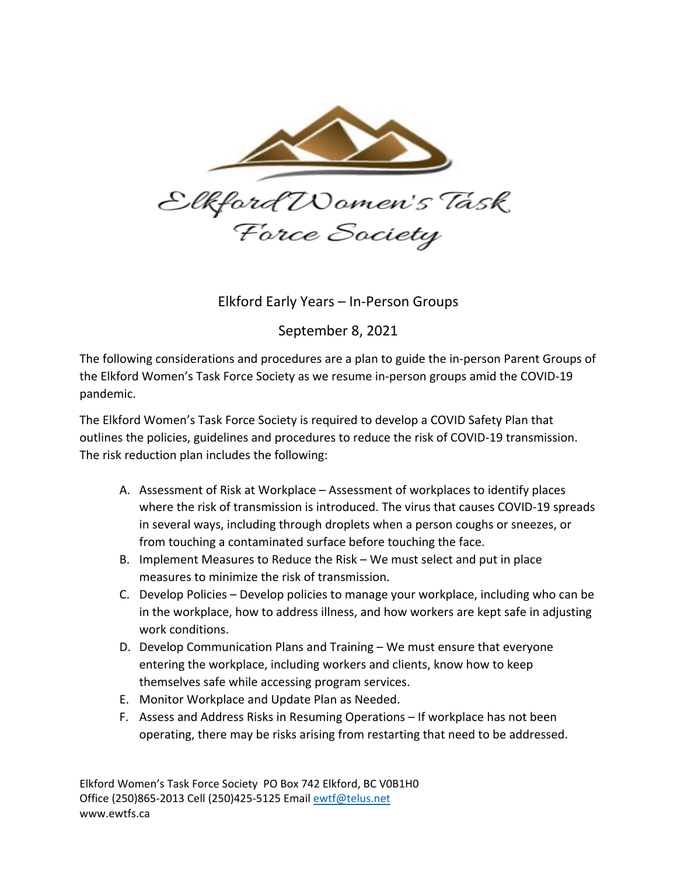

Elkford Early Years – In-Person Groups

September 8, 2021

The following considerations and procedures are a plan to guide the in-person Parent Groups of the Elkford Women's Task Force Society as we resume in-person groups amid the COVID-19 pandemic.

The Elkford Women's Task Force Society is required to develop a COVID Safety Plan that outlines the policies, guidelines and procedures to reduce the risk of COVID-19 transmission. The risk reduction plan includes the following:

- A. Assessment of Risk at Workplace Assessment of workplaces to identify places where the risk of transmission is introduced. The virus that causes COVID-19 spreads in several ways, including through droplets when a person coughs or sneezes, or from touching a contaminated surface before touching the face.
- B. Implement Measures to Reduce the Risk We must select and put in place measures to minimize the risk of transmission.
- C. Develop Policies Develop policies to manage your workplace, including who can be in the workplace, how to address illness, and how workers are kept safe in adjusting work conditions.
- D. Develop Communication Plans and Training We must ensure that everyone entering the workplace, including workers and clients, know how to keep themselves safe while accessing program services.
- E. Monitor Workplace and Update Plan as Needed.
- F. Assess and Address Risks in Resuming Operations If workplace has not been operating, there may be risks arising from restarting that need to be addressed.

Elkford Women's Task Force Society PO Box 742 Elkford, BC V0B1H0 Office (250)865-2013 Cell (250)425-5125 Email ewtf@telus.net www.ewtfs.ca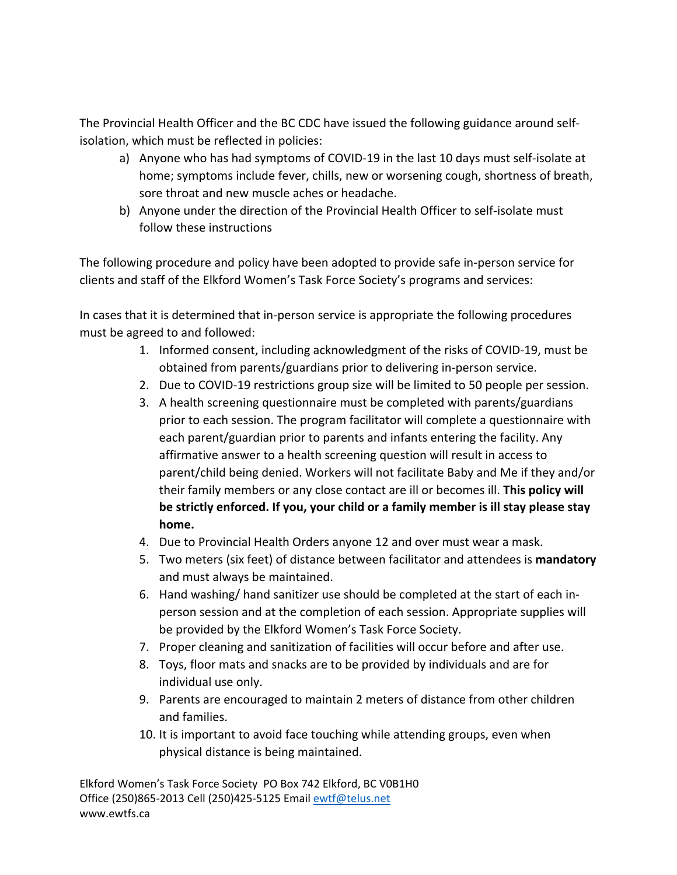The Provincial Health Officer and the BC CDC have issued the following guidance around selfisolation, which must be reflected in policies:

- a) Anyone who has had symptoms of COVID-19 in the last 10 days must self-isolate at home; symptoms include fever, chills, new or worsening cough, shortness of breath, sore throat and new muscle aches or headache.
- b) Anyone under the direction of the Provincial Health Officer to self-isolate must follow these instructions

The following procedure and policy have been adopted to provide safe in-person service for clients and staff of the Elkford Women's Task Force Society's programs and services:

In cases that it is determined that in-person service is appropriate the following procedures must be agreed to and followed:

- 1. Informed consent, including acknowledgment of the risks of COVID-19, must be obtained from parents/guardians prior to delivering in-person service.
- 2. Due to COVID-19 restrictions group size will be limited to 50 people per session.
- 3. A health screening questionnaire must be completed with parents/guardians prior to each session. The program facilitator will complete a questionnaire with each parent/guardian prior to parents and infants entering the facility. Any affirmative answer to a health screening question will result in access to parent/child being denied. Workers will not facilitate Baby and Me if they and/or their family members or any close contact are ill or becomes ill. **This policy will be strictly enforced. If you, your child or a family member is ill stay please stay home.**
- 4. Due to Provincial Health Orders anyone 12 and over must wear a mask.
- 5. Two meters (six feet) of distance between facilitator and attendees is **mandatory** and must always be maintained.
- 6. Hand washing/ hand sanitizer use should be completed at the start of each inperson session and at the completion of each session. Appropriate supplies will be provided by the Elkford Women's Task Force Society.
- 7. Proper cleaning and sanitization of facilities will occur before and after use.
- 8. Toys, floor mats and snacks are to be provided by individuals and are for individual use only.
- 9. Parents are encouraged to maintain 2 meters of distance from other children and families.
- 10. It is important to avoid face touching while attending groups, even when physical distance is being maintained.

Elkford Women's Task Force Society PO Box 742 Elkford, BC V0B1H0 Office (250)865-2013 Cell (250)425-5125 Email ewtf@telus.net www.ewtfs.ca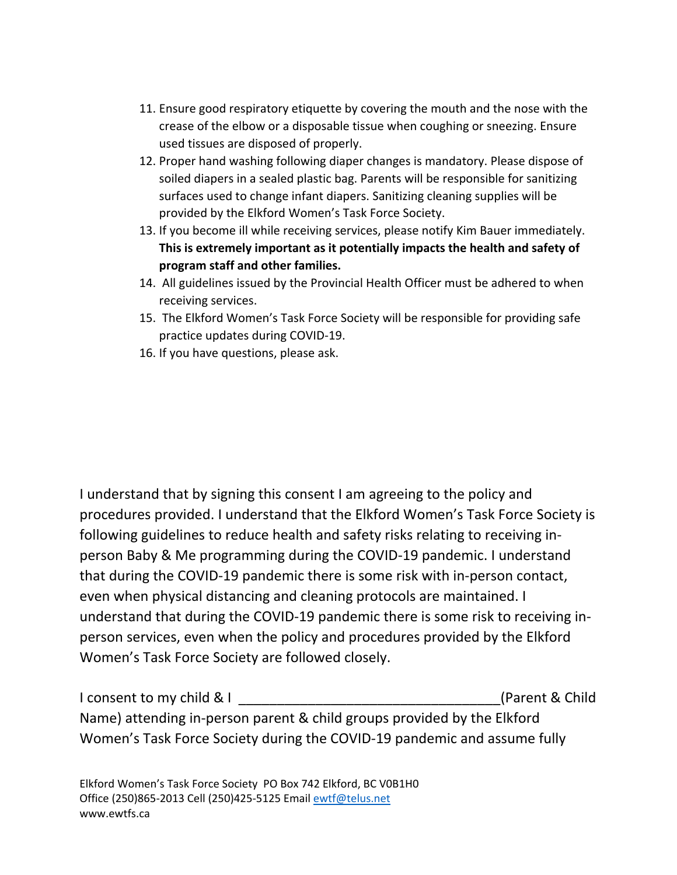- 11. Ensure good respiratory etiquette by covering the mouth and the nose with the crease of the elbow or a disposable tissue when coughing or sneezing. Ensure used tissues are disposed of properly.
- 12. Proper hand washing following diaper changes is mandatory. Please dispose of soiled diapers in a sealed plastic bag. Parents will be responsible for sanitizing surfaces used to change infant diapers. Sanitizing cleaning supplies will be provided by the Elkford Women's Task Force Society.
- 13. If you become ill while receiving services, please notify Kim Bauer immediately. **This is extremely important as it potentially impacts the health and safety of program staff and other families.**
- 14. All guidelines issued by the Provincial Health Officer must be adhered to when receiving services.
- 15. The Elkford Women's Task Force Society will be responsible for providing safe practice updates during COVID-19.
- 16. If you have questions, please ask.

I understand that by signing this consent I am agreeing to the policy and procedures provided. I understand that the Elkford Women's Task Force Society is following guidelines to reduce health and safety risks relating to receiving inperson Baby & Me programming during the COVID-19 pandemic. I understand that during the COVID-19 pandemic there is some risk with in-person contact, even when physical distancing and cleaning protocols are maintained. I understand that during the COVID-19 pandemic there is some risk to receiving inperson services, even when the policy and procedures provided by the Elkford Women's Task Force Society are followed closely.

| I consent to my child & I                                                | (Parent & Child) |
|--------------------------------------------------------------------------|------------------|
| Name) attending in-person parent & child groups provided by the Elkford  |                  |
| Women's Task Force Society during the COVID-19 pandemic and assume fully |                  |

Elkford Women's Task Force Society PO Box 742 Elkford, BC V0B1H0 Office (250)865-2013 Cell (250)425-5125 Email ewtf@telus.net www.ewtfs.ca